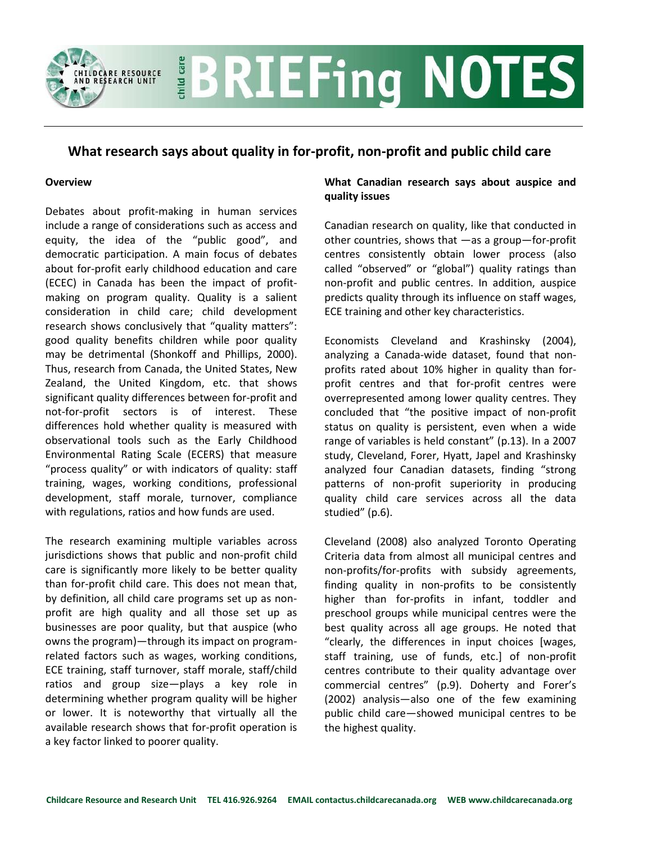# **BRIEFing NOTES** child care **RE RESOURCE**<br>EARCH UNIT

## **What research says about quality in for-profit, non-profit and public child care**

#### **Overview**

Debates about profit-making in human services include a range of considerations such as access and equity, the idea of the "public good", and democratic participation. A main focus of debates about for-profit early childhood education and care (ECEC) in Canada has been the impact of profitmaking on program quality. Quality is a salient consideration in child care; child development research shows conclusively that "quality matters": good quality benefits children while poor quality may be detrimental (Shonkoff and Phillips, 2000). Thus, research from Canada, the United States, New Zealand, the United Kingdom, etc. that shows significant quality differences between for-profit and not-for-profit sectors is of interest. These differences hold whether quality is measured with observational tools such as the Early Childhood Environmental Rating Scale (ECERS) that measure "process quality" or with indicators of quality: staff training, wages, working conditions, professional development, staff morale, turnover, compliance with regulations, ratios and how funds are used.

The research examining multiple variables across jurisdictions shows that public and non-profit child care is significantly more likely to be better quality than for-profit child care. This does not mean that, by definition, all child care programs set up as nonprofit are high quality and all those set up as businesses are poor quality, but that auspice (who owns the program)—through its impact on programrelated factors such as wages, working conditions, ECE training, staff turnover, staff morale, staff/child ratios and group size—plays a key role in determining whether program quality will be higher or lower. It is noteworthy that virtually all the available research shows that for-profit operation is a key factor linked to poorer quality.

### **What Canadian research says about auspice and quality issues**

Canadian research on quality, like that conducted in other countries, shows that —as a group—for-profit centres consistently obtain lower process (also called "observed" or "global") quality ratings than non-profit and public centres. In addition, auspice predicts quality through its influence on staff wages, ECE training and other key characteristics.

Economists Cleveland and Krashinsky (2004), analyzing a Canada-wide dataset, found that nonprofits rated about 10% higher in quality than forprofit centres and that for-profit centres were overrepresented among lower quality centres. They concluded that "the positive impact of non-profit status on quality is persistent, even when a wide range of variables is held constant" (p.13). In a 2007 study, Cleveland, Forer, Hyatt, Japel and Krashinsky analyzed four Canadian datasets, finding "strong patterns of non-profit superiority in producing quality child care services across all the data studied" (p.6).

Cleveland (2008) also analyzed Toronto Operating Criteria data from almost all municipal centres and non-profits/for-profits with subsidy agreements, finding quality in non-profits to be consistently higher than for-profits in infant, toddler and preschool groups while municipal centres were the best quality across all age groups. He noted that "clearly, the differences in input choices [wages, staff training, use of funds, etc.] of non-profit centres contribute to their quality advantage over commercial centres" (p.9). Doherty and Forer's (2002) analysis—also one of the few examining public child care—showed municipal centres to be the highest quality.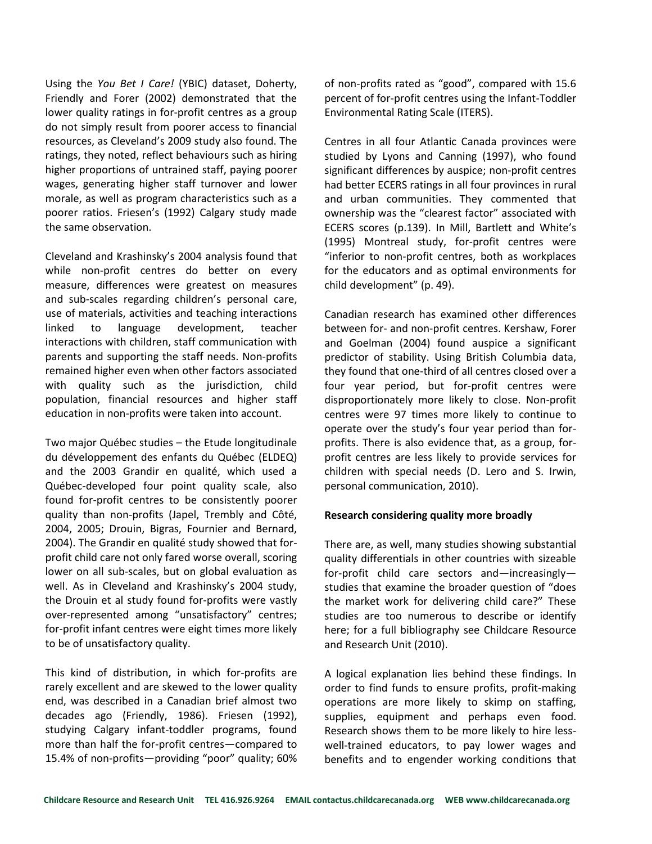Using the *You Bet I Care!* (YBIC) dataset, Doherty, Friendly and Forer (2002) demonstrated that the lower quality ratings in for-profit centres as a group do not simply result from poorer access to financial resources, as Cleveland's 2009 study also found. The ratings, they noted, reflect behaviours such as hiring higher proportions of untrained staff, paying poorer wages, generating higher staff turnover and lower morale, as well as program characteristics such as a poorer ratios. Friesen's (1992) Calgary study made the same observation.

Cleveland and Krashinsky's 2004 analysis found that while non-profit centres do better on every measure, differences were greatest on measures and sub-scales regarding children's personal care, use of materials, activities and teaching interactions linked to language development, teacher interactions with children, staff communication with parents and supporting the staff needs. Non-profits remained higher even when other factors associated with quality such as the jurisdiction, child population, financial resources and higher staff education in non-profits were taken into account.

Two major Québec studies – the Etude longitudinale du développement des enfants du Québec (ELDEQ) and the 2003 Grandir en qualité, which used a Québec-developed four point quality scale, also found for-profit centres to be consistently poorer quality than non-profits (Japel, Trembly and Côté, 2004, 2005; Drouin, Bigras, Fournier and Bernard, 2004). The Grandir en qualité study showed that forprofit child care not only fared worse overall, scoring lower on all sub-scales, but on global evaluation as well. As in Cleveland and Krashinsky's 2004 study, the Drouin et al study found for-profits were vastly over-represented among "unsatisfactory" centres; for-profit infant centres were eight times more likely to be of unsatisfactory quality.

This kind of distribution, in which for-profits are rarely excellent and are skewed to the lower quality end, was described in a Canadian brief almost two decades ago (Friendly, 1986). Friesen (1992), studying Calgary infant-toddler programs, found more than half the for-profit centres—compared to 15.4% of non-profits—providing "poor" quality; 60%

of non-profits rated as "good", compared with 15.6 percent of for-profit centres using the Infant-Toddler Environmental Rating Scale (ITERS).

Centres in all four Atlantic Canada provinces were studied by Lyons and Canning (1997), who found significant differences by auspice; non-profit centres had better ECERS ratings in all four provinces in rural and urban communities. They commented that ownership was the "clearest factor" associated with ECERS scores (p.139). In Mill, Bartlett and White's (1995) Montreal study, for-profit centres were "inferior to non-profit centres, both as workplaces for the educators and as optimal environments for child development" (p. 49).

Canadian research has examined other differences between for- and non-profit centres. Kershaw, Forer and Goelman (2004) found auspice a significant predictor of stability. Using British Columbia data, they found that one-third of all centres closed over a four year period, but for-profit centres were disproportionately more likely to close. Non-profit centres were 97 times more likely to continue to operate over the study's four year period than forprofits. There is also evidence that, as a group, forprofit centres are less likely to provide services for children with special needs (D. Lero and S. Irwin, personal communication, 2010).

#### **Research considering quality more broadly**

There are, as well, many studies showing substantial quality differentials in other countries with sizeable for-profit child care sectors and—increasingly studies that examine the broader question of "does the market work for delivering child care?" These studies are too numerous to describe or identify here; for a full bibliography see Childcare Resource and Research Unit (2010).

A logical explanation lies behind these findings. In order to find funds to ensure profits, profit-making operations are more likely to skimp on staffing, supplies, equipment and perhaps even food. Research shows them to be more likely to hire lesswell-trained educators, to pay lower wages and benefits and to engender working conditions that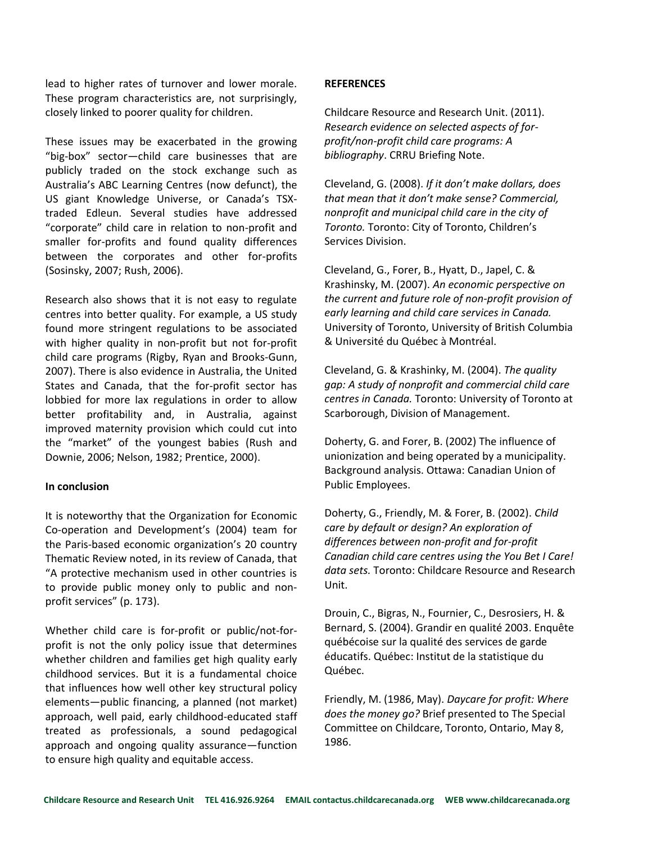lead to higher rates of turnover and lower morale. These program characteristics are, not surprisingly, closely linked to poorer quality for children.

These issues may be exacerbated in the growing "big-box" sector—child care businesses that are publicly traded on the stock exchange such as Australia's ABC Learning Centres (now defunct), the US giant Knowledge Universe, or Canada's TSXtraded Edleun. Several studies have addressed "corporate" child care in relation to non-profit and smaller for-profits and found quality differences between the corporates and other for-profits (Sosinsky, 2007; Rush, 2006).

Research also shows that it is not easy to regulate centres into better quality. For example, a US study found more stringent regulations to be associated with higher quality in non-profit but not for-profit child care programs (Rigby, Ryan and Brooks-Gunn, 2007). There is also evidence in Australia, the United States and Canada, that the for-profit sector has lobbied for more lax regulations in order to allow better profitability and, in Australia, against improved maternity provision which could cut into the "market" of the youngest babies (Rush and Downie, 2006; Nelson, 1982; Prentice, 2000).

#### **In conclusion**

It is noteworthy that the Organization for Economic Co-operation and Development's (2004) team for the Paris-based economic organization's 20 country Thematic Review noted, in its review of Canada, that "A protective mechanism used in other countries is to provide public money only to public and nonprofit services" (p. 173).

Whether child care is for-profit or public/not-forprofit is not the only policy issue that determines whether children and families get high quality early childhood services. But it is a fundamental choice that influences how well other key structural policy elements—public financing, a planned (not market) approach, well paid, early childhood-educated staff treated as professionals, a sound pedagogical approach and ongoing quality assurance—function to ensure high quality and equitable access.

#### **REFERENCES**

Childcare Resource and Research Unit. (2011). *Research evidence on selected aspects of forprofit/non-profit child care programs: A bibliography*. CRRU Briefing Note.

Cleveland, G. (2008). *If it don't make dollars, does that mean that it don't make sense? Commercial, nonprofit and municipal child care in the city of Toronto.* Toronto: City of Toronto, Children's Services Division.

Cleveland, G., Forer, B., Hyatt, D., Japel, C. & Krashinsky, M. (2007). *An economic perspective on the current and future role of non-profit provision of early learning and child care services in Canada.*  University of Toronto, University of British Columbia & Université du Québec à Montréal.

Cleveland, G. & Krashinky, M. (2004). *The quality gap: A study of nonprofit and commercial child care centres in Canada.* Toronto: University of Toronto at Scarborough, Division of Management.

Doherty, G. and Forer, B. (2002) The influence of unionization and being operated by a municipality. Background analysis. Ottawa: Canadian Union of Public Employees.

Doherty, G., Friendly, M. & Forer, B. (2002). *Child care by default or design? An exploration of differences between non-profit and for-profit Canadian child care centres using the You Bet I Care! data sets.* Toronto: Childcare Resource and Research Unit.

Drouin, C., Bigras, N., Fournier, C., Desrosiers, H. & Bernard, S. (2004). Grandir en qualité 2003. Enquête québécoise sur la qualité des services de garde éducatifs. Québec: Institut de la statistique du Québec.

Friendly, M. (1986, May). *Daycare for profit: Where does the money go?* Brief presented to The Special Committee on Childcare, Toronto, Ontario, May 8, 1986.